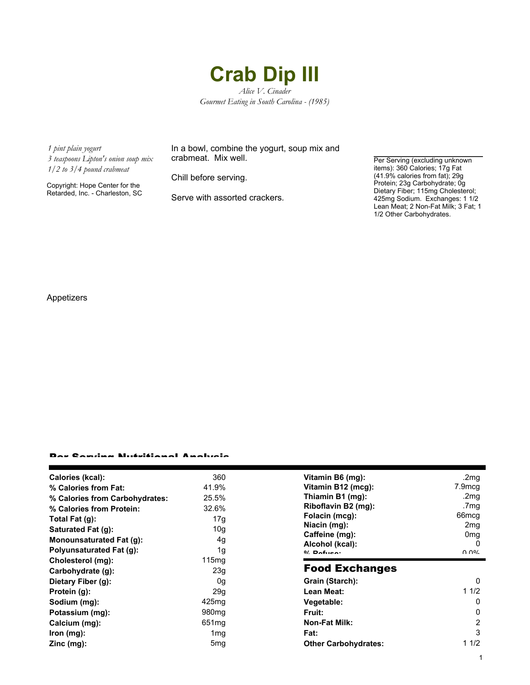## **Crab Dip III**

*Alice V. Cinader Gourmet Eating in South Carolina - (1985)*

*1 pint plain yogurt*

*3 teaspoons Lipton's onion soup mix 1/2 to 3/4 pound crabmeat*

Copyright: Hope Center for the Retarded, Inc. - Charleston, SC In a bowl, combine the yogurt, soup mix and crabmeat. Mix well.

Chill before serving.

Serve with assorted crackers.

Per Serving (excluding unknown items): 360 Calories; 17g Fat (41.9% calories from fat); 29g Protein; 23g Carbohydrate; 0g Dietary Fiber; 115mg Cholesterol; 425mg Sodium. Exchanges: 1 1/2 Lean Meat; 2 Non-Fat Milk; 3 Fat; 1 1/2 Other Carbohydrates.

Appetizers

## Per Serving Nutritional Analysis

| Calories (kcal):                | 360               | Vitamin B6 (mg):            | .2 $mg$           |
|---------------------------------|-------------------|-----------------------------|-------------------|
| % Calories from Fat:            | 41.9%             | Vitamin B12 (mcg):          | 7.9mcg            |
| % Calories from Carbohydrates:  | 25.5%             | Thiamin B1 (mg):            | .2mq              |
| % Calories from Protein:        | 32.6%             | Riboflavin B2 (mg):         | .7mg              |
| Total Fat $(g)$ :               | 17g               | Folacin (mcg):              | 66 <sub>mcq</sub> |
| Saturated Fat (g):              | 10g               | Niacin (mg):                | 2 <sub>mq</sub>   |
| <b>Monounsaturated Fat (g):</b> | 4g                | Caffeine (mg):              | 0mg               |
|                                 |                   | Alcohol (kcal):             | 0                 |
| Polyunsaturated Fat (g):        | 1g                | $0/2$ Pofileon              | በ በ%              |
| Cholesterol (mg):               | 115mg             |                             |                   |
| Carbohydrate (g):               | 23g               | <b>Food Exchanges</b>       |                   |
| Dietary Fiber (g):              | 0g                | Grain (Starch):             | 0                 |
| Protein (g):                    | 29q               | Lean Meat:                  | 11/2              |
| Sodium (mg):                    | 425mg             | Vegetable:                  | 0                 |
| Potassium (mg):                 | 980 <sub>mg</sub> | Fruit:                      | 0                 |
| Calcium (mg):                   | 651 <sub>mg</sub> | <b>Non-Fat Milk:</b>        | 2                 |
| $lron$ (mg):                    | 1 <sub>mg</sub>   | Fat:                        | 3                 |
| $Zinc$ (mg):                    | 5 <sub>mg</sub>   | <b>Other Carbohydrates:</b> | 11/2              |